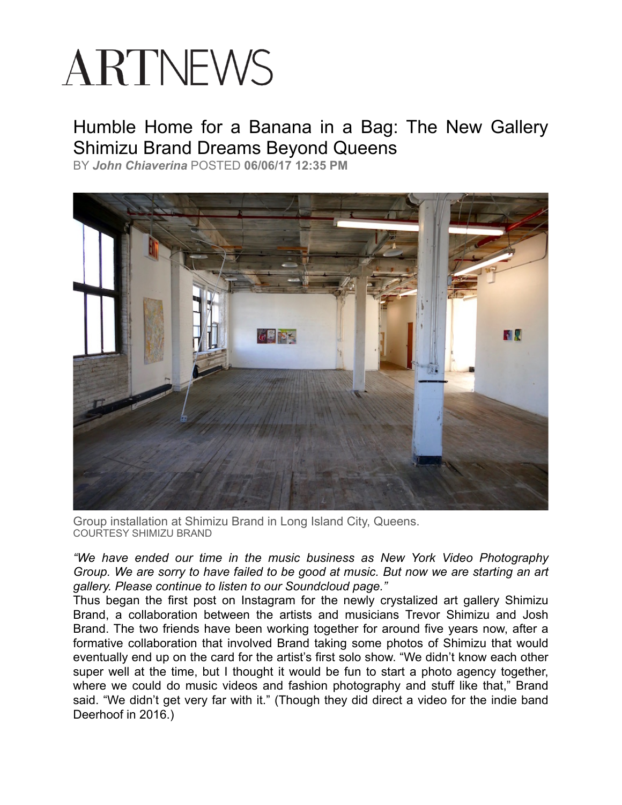## ARTNEWS

## Humble Home for a Banana in a Bag: The New Gallery Shimizu Brand Dreams Beyond Queens

BY *[John Chiaverina](http://www.artnews.com/author/jchiaverina/)* POSTED **06/06/17 12:35 PM**



Group installation at Shimizu Brand in Long Island City, Queens. COURTESY SHIMIZU BRAND

*"We have ended our time in the music business as New York Video Photography Group. We are sorry to have failed to be good at music. But now we are starting an art gallery. Please continue to listen to our Soundcloud page."* 

Thus began the first post on Instagram for the newly crystalized art gallery Shimizu Brand, a collaboration between the artists and musicians Trevor Shimizu and Josh Brand. The two friends have been working together for around five years now, after a formative collaboration that involved Brand taking some photos of Shimizu that would eventually end up on the card for the artist's first solo show. "We didn't know each other super well at the time, but I thought it would be fun to start a photo agency together, where we could do music videos and fashion photography and stuff like that," Brand said. "We didn't get very far with it." (Though they did direct a video for the indie band Deerhoof in 2016.)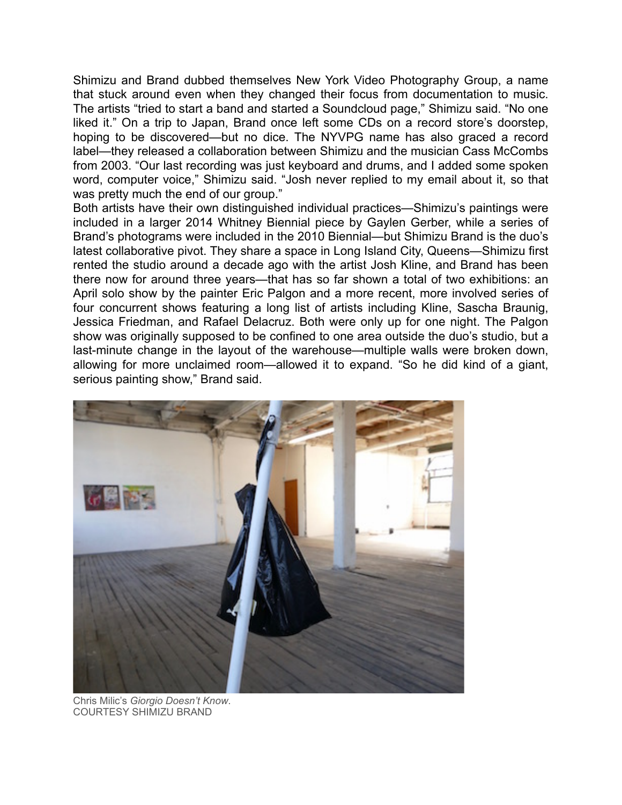Shimizu and Brand dubbed themselves New York Video Photography Group, a name that stuck around even when they changed their focus from documentation to music. The artists "tried to start a band and started a Soundcloud page," Shimizu said. "No one liked it." On a trip to Japan, Brand once left some CDs on a record store's doorstep, hoping to be discovered—but no dice. The NYVPG name has also graced a record label—they released a collaboration between Shimizu and the musician Cass McCombs from 2003. "Our last recording was just keyboard and drums, and I added some spoken word, computer voice," Shimizu said. "Josh never replied to my email about it, so that was pretty much the end of our group."

Both artists have their own distinguished individual practices—Shimizu's paintings were included in a larger 2014 Whitney Biennial piece by Gaylen Gerber, while a series of Brand's photograms were included in the 2010 Biennial—but Shimizu Brand is the duo's latest collaborative pivot. They share a space in Long Island City, Queens—Shimizu first rented the studio around a decade ago with the artist Josh Kline, and Brand has been there now for around three years—that has so far shown a total of two exhibitions: an April solo show by the painter Eric Palgon and a more recent, more involved series of four concurrent shows featuring a long list of artists including Kline, Sascha Braunig, Jessica Friedman, and Rafael Delacruz. Both were only up for one night. The Palgon show was originally supposed to be confined to one area outside the duo's studio, but a last-minute change in the layout of the warehouse—multiple walls were broken down, allowing for more unclaimed room—allowed it to expand. "So he did kind of a giant, serious painting show," Brand said.



Chris Milic's *Giorgio Doesn't Know*. COURTESY SHIMIZU BRAND